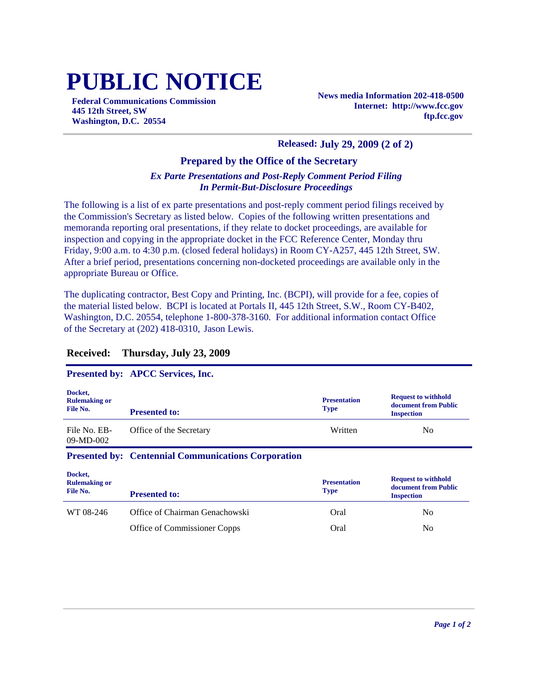# **PUBLIC NOTICE**

**Federal Communications Commission 445 12th Street, SW Washington, D.C. 20554**

**News media Information 202-418-0500 Internet: http://www.fcc.gov ftp.fcc.gov**

#### **Released: July 29, 2009 (2 of 2)**

#### **Prepared by the Office of the Secretary**

#### *Ex Parte Presentations and Post-Reply Comment Period Filing In Permit-But-Disclosure Proceedings*

The following is a list of ex parte presentations and post-reply comment period filings received by the Commission's Secretary as listed below. Copies of the following written presentations and memoranda reporting oral presentations, if they relate to docket proceedings, are available for inspection and copying in the appropriate docket in the FCC Reference Center, Monday thru Friday, 9:00 a.m. to 4:30 p.m. (closed federal holidays) in Room CY-A257, 445 12th Street, SW. After a brief period, presentations concerning non-docketed proceedings are available only in the appropriate Bureau or Office.

The duplicating contractor, Best Copy and Printing, Inc. (BCPI), will provide for a fee, copies of the material listed below. BCPI is located at Portals II, 445 12th Street, S.W., Room CY-B402, Washington, D.C. 20554, telephone 1-800-378-3160. For additional information contact Office of the Secretary at (202) 418-0310, Jason Lewis.

#### **Received: Thursday, July 23, 2009**

### **Presented by: APCC Services, Inc.**

| Docket,<br><b>Rulemaking or</b><br>File No. | <b>Presented to:</b>                                           | <b>Presentation</b><br><b>Type</b> | <b>Request to withhold</b><br>document from Public<br><b>Inspection</b> |  |
|---------------------------------------------|----------------------------------------------------------------|------------------------------------|-------------------------------------------------------------------------|--|
| File No. EB-<br>$09-MD-002$                 | Office of the Secretary                                        | Written                            | No.                                                                     |  |
|                                             | <b>Presented by: Centennial Communications Corporation</b>     |                                    |                                                                         |  |
| Docket,<br><b>Rulemaking or</b><br>File No. | <b>Presented to:</b>                                           | <b>Presentation</b><br><b>Type</b> | <b>Request to withhold</b><br>document from Public<br><b>Inspection</b> |  |
| WT 08-246                                   | Office of Chairman Genachowski<br>Office of Commissioner Copps | Oral<br>Oral                       | N <sub>0</sub><br>N <sub>0</sub>                                        |  |